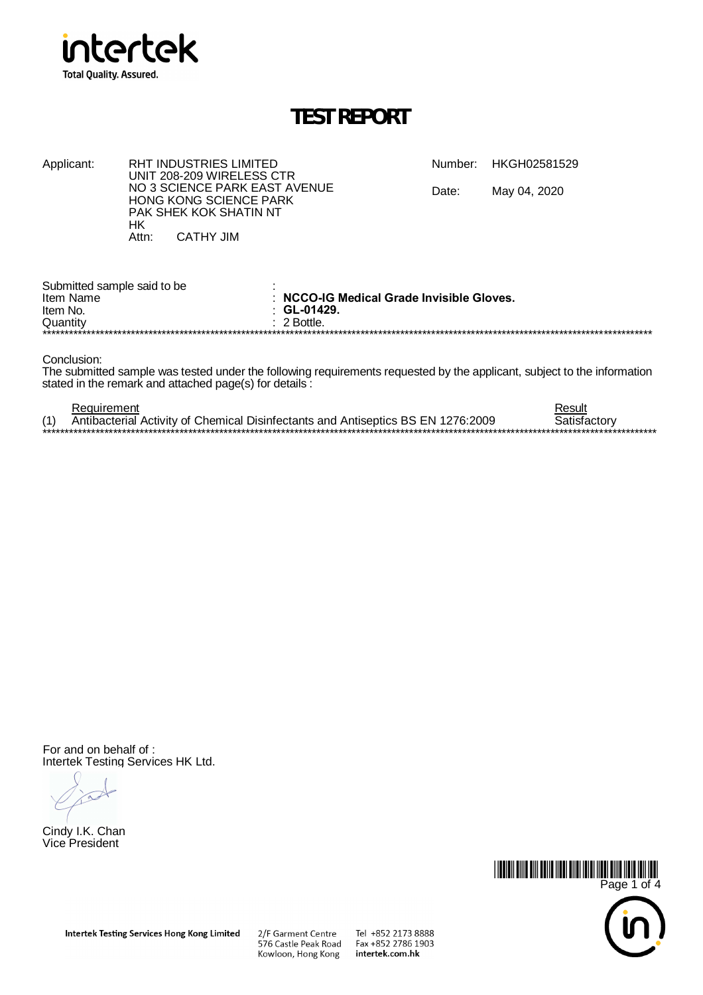

**HK** Attn:

**RHT INDUSTRIES LIMITED** 

UNIT 208-209 WIRELESS CTR NO 3 SCIENCE PARK EAST AVENUE

HONG KONG SCIENCE PARK PAK SHEK KOK SHATIN NT

**CATHY JIM** 

### **TEST REPORT**

Number: HKGH02581529

Date: May 04, 2020

| Submitted sample said to be<br>Item Name | : NCCO-IG Medical Grade Invisible Gloves. |  |  |  |  |  |  |
|------------------------------------------|-------------------------------------------|--|--|--|--|--|--|
| Item No.                                 | $\therefore$ GL-01429.                    |  |  |  |  |  |  |
| Quantity                                 | $\pm$ 2 Bottle.                           |  |  |  |  |  |  |
| ******************                       |                                           |  |  |  |  |  |  |

Conclusion:

Applicant:

The submitted sample was tested under the following requirements requested by the applicant, subject to the information stated in the remark and attached page(s) for details :

| Requirement                                                                      | Result       |
|----------------------------------------------------------------------------------|--------------|
| Antibacterial Activity of Chemical Disinfectants and Antiseptics BS EN 1276:2009 | Satistactorv |
|                                                                                  |              |

For and on behalf of: Intertek Testing Services HK Ltd.

Cindy I.K. Chan Vice President



Tel +852 2173 8888  $Fax + 85227861903$ intertek.com.hk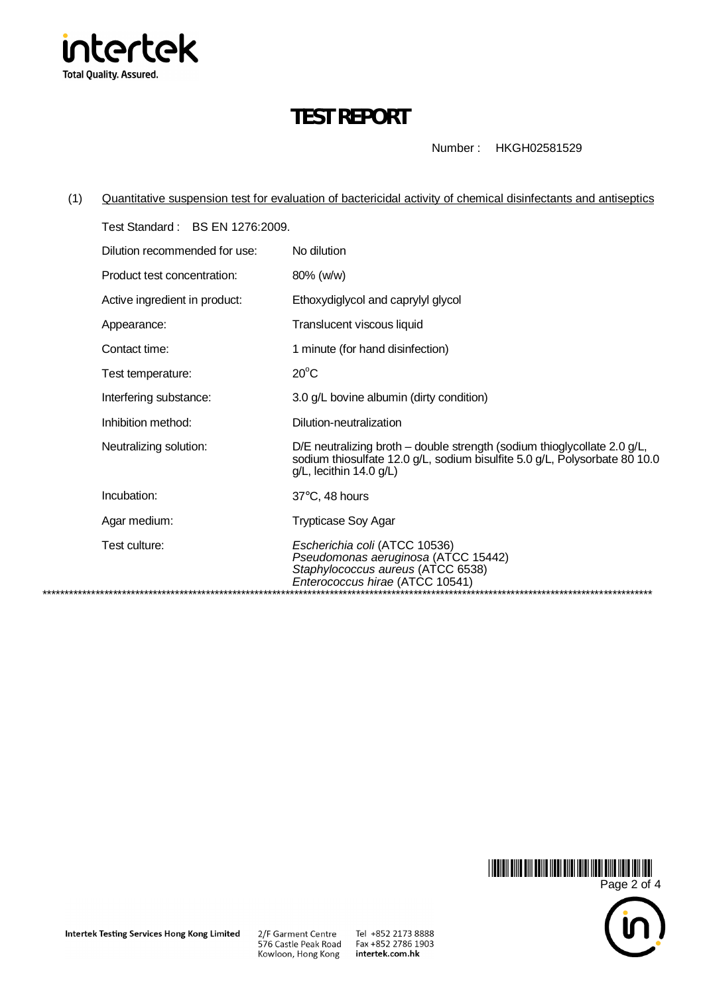

# **TEST REPORT**

Number: HKGH02581529

Quantitative suspension test for evaluation of bactericidal activity of chemical disinfectants and antiseptics  $(1)$ 

| Test Standard: BS EN 1276:2009. |                                                                                                                                                                                      |
|---------------------------------|--------------------------------------------------------------------------------------------------------------------------------------------------------------------------------------|
| Dilution recommended for use:   | No dilution                                                                                                                                                                          |
| Product test concentration:     | 80% (w/w)                                                                                                                                                                            |
| Active ingredient in product:   | Ethoxydiglycol and caprylyl glycol                                                                                                                                                   |
| Appearance:                     | Translucent viscous liquid                                                                                                                                                           |
| Contact time:                   | 1 minute (for hand disinfection)                                                                                                                                                     |
| Test temperature:               | $20^{\circ}$ C                                                                                                                                                                       |
| Interfering substance:          | 3.0 g/L bovine albumin (dirty condition)                                                                                                                                             |
| Inhibition method:              | Dilution-neutralization                                                                                                                                                              |
| Neutralizing solution:          | D/E neutralizing broth – double strength (sodium thioglycollate 2.0 $g/L$ ,<br>sodium thiosulfate 12.0 g/L, sodium bisulfite 5.0 g/L, Polysorbate 80 10.0<br>g/L, lecithin 14.0 g/L) |
| Incubation:                     | $37^{\circ}$ C, 48 hours                                                                                                                                                             |
| Agar medium:                    | <b>Trypticase Soy Agar</b>                                                                                                                                                           |
| Test culture:                   | Escherichia coli (ATCC 10536)<br>Pseudomonas aeruginosa (ATCC 15442)<br>Staphylococcus aureus (ATCC 6538)<br>Enterococcus hirae (ATCC 10541)                                         |

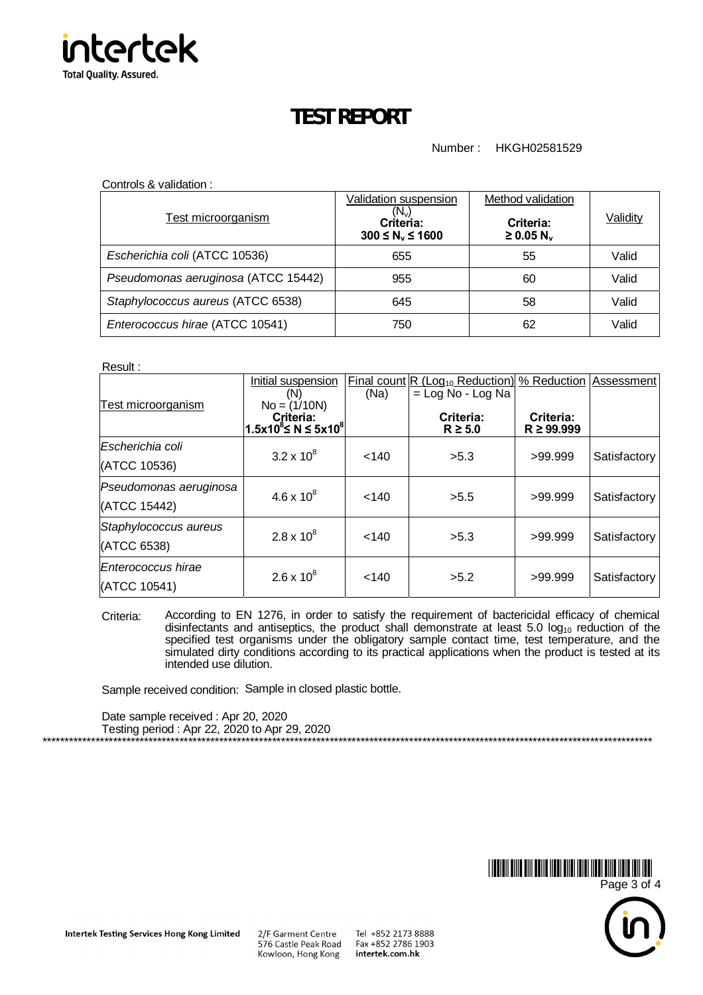

## **TEST REPORT**

### Number : HKGH02581529

Controls & validation :

| <b>Test microorganism</b>           | Validation suspension<br>$(N_v)$<br>Criteria:<br>$300 \le N_v \le 1600$ | Method validation<br>Criteria:<br>$\geq$ 0.05 N <sub>v</sub> | Validity |
|-------------------------------------|-------------------------------------------------------------------------|--------------------------------------------------------------|----------|
| Escherichia coli (ATCC 10536)       | 655                                                                     | 55                                                           | Valid    |
| Pseudomonas aeruginosa (ATCC 15442) | 955                                                                     | 60                                                           | Valid    |
| Staphylococcus aureus (ATCC 6538)   | 645                                                                     | 58                                                           | Valid    |
| Enterococcus hirae (ATCC 10541)     | 750                                                                     | 62                                                           | Valid    |

Result :

|                           | Initial suspension<br>(N)                                         | (Na)  | <b>Final count R (Log<sub>10</sub> Reduction)</b><br>$=$ Log No - Log Na | % Reduction Assessment      |              |
|---------------------------|-------------------------------------------------------------------|-------|--------------------------------------------------------------------------|-----------------------------|--------------|
| <b>Test microorganism</b> | $No = (1/10N)$<br>Criteria:<br>$1.5x10^8$ ≤ N ≤ 5x10 <sup>8</sup> |       | Criteria:<br>$R \geq 5.0$                                                | Criteria:<br>$R \ge 99.999$ |              |
| Escherichia coli          | $3.2 \times 10^8$                                                 | < 140 |                                                                          |                             |              |
| (ATCC 10536)              |                                                                   |       | >5.3                                                                     | >99.999                     | Satisfactory |
| Pseudomonas aeruginosa    | $4.6 \times 10^{8}$                                               |       |                                                                          |                             |              |
| (ATCC 15442)              |                                                                   | < 140 | >5.5                                                                     | >99.999                     | Satisfactory |
| Staphylococcus aureus     | $2.8 \times 10^8$                                                 | < 140 | >5.3                                                                     | >99.999                     | Satisfactory |
| (ATCC 6538)               |                                                                   |       |                                                                          |                             |              |
| Enterococcus hirae        | $2.6 \times 10^8$                                                 |       | >5.2                                                                     | >99.999                     |              |
| (ATCC 10541)              |                                                                   | < 140 |                                                                          |                             | Satisfactory |

Criteria: According to EN 1276, in order to satisfy the requirement of bactericidal efficacy of chemical disinfectants and antiseptics, the product shall demonstrate at least 5.0  $log_{10}$  reduction of the specified test organisms under the obligatory sample contact time, test temperature, and the simulated dirty conditions according to its practical applications when the product is tested at its intended use dilution.

Sample received condition: Sample in closed plastic bottle.

Date sample received : Apr 20, 2020 Testing period : Apr 22, 2020 to Apr 29, 2020



\*\*\*\*\*\*\*\*\*\*\*\*\*\*\*\*\*\*\*\*\*\*\*\*\*\*\*\*\*\*\*\*\*\*\*\*\*\*\*\*\*\*\*\*\*\*\*\*\*\*\*\*\*\*\*\*\*\*\*\*\*\*\*\*\*\*\*\*\*\*\*\*\*\*\*\*\*\*\*\*\*\*\*\*\*\*\*\*\*\*\*\*\*\*\*\*\*\*\*\*\*\*\*\*\*\*\*\*\*\*\*\*\*\*\*\*\*\*\*\*\*\*\*\*\*\*\*\*\*\*\*\*\*\*\*\*\*\*

Intertek Testing Services Hong Kong Limited

2/F Garment Centre 576 Castle Peak Road Kowloon, Hong Kong

Tel +852 2173 8888 Fax +852 2786 1903 intertek.com.hk